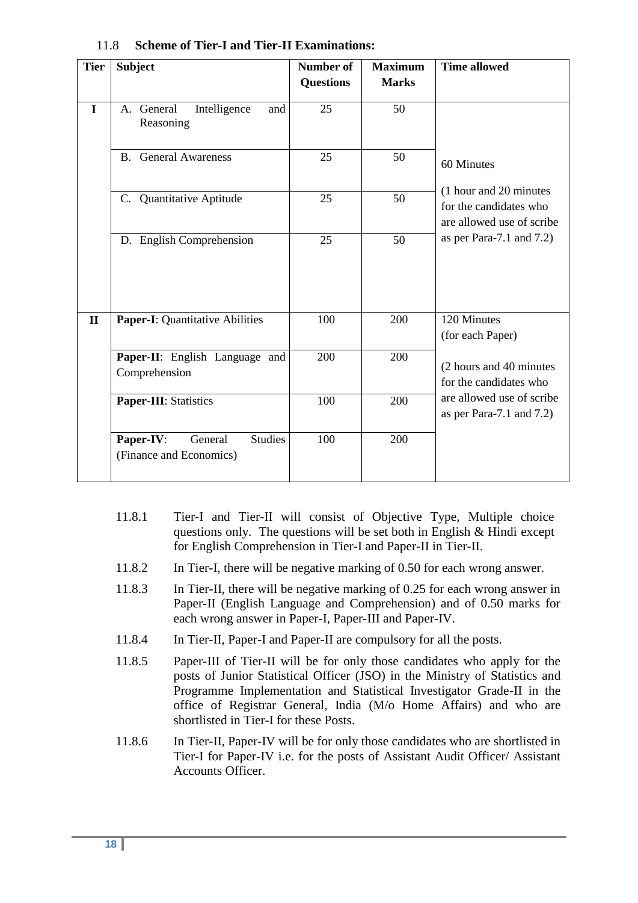| <b>Tier</b>  | <b>Subject</b>                                                    | <b>Number of</b> | <b>Maximum</b> | <b>Time allowed</b>                                                           |  |
|--------------|-------------------------------------------------------------------|------------------|----------------|-------------------------------------------------------------------------------|--|
|              |                                                                   | <b>Questions</b> | <b>Marks</b>   |                                                                               |  |
| $\bf{I}$     | Intelligence<br>A. General<br>and<br>Reasoning                    | 25               | 50             |                                                                               |  |
|              | <b>B.</b> General Awareness                                       | 25               | 50             | 60 Minutes                                                                    |  |
|              | C. Quantitative Aptitude                                          | 25               | 50             | (1 hour and 20 minutes<br>for the candidates who<br>are allowed use of scribe |  |
|              | D. English Comprehension                                          | 25               | 50             | as per Para-7.1 and $7.2$ )                                                   |  |
| $\mathbf{I}$ | <b>Paper-I:</b> Quantitative Abilities                            | 100              | 200            | 120 Minutes<br>(for each Paper)                                               |  |
|              | Paper-II: English Language and<br>Comprehension                   | 200              | 200            | (2 hours and 40 minutes)<br>for the candidates who                            |  |
|              | Paper-III: Statistics                                             | 100              | 200            | are allowed use of scribe<br>as per Para-7.1 and $7.2$ )                      |  |
|              | <b>Studies</b><br>Paper-IV:<br>General<br>(Finance and Economics) | 100              | 200            |                                                                               |  |

## 11.8 **Scheme of Tier-I and Tier-II Examinations:**

- 11.8.1 Tier-I and Tier-II will consist of Objective Type, Multiple choice questions only. The questions will be set both in English  $&$  Hindi except for English Comprehension in Tier-I and Paper-II in Tier-II.
- 11.8.2 In Tier-I, there will be negative marking of 0.50 for each wrong answer.
- 11.8.3 In Tier-II, there will be negative marking of 0.25 for each wrong answer in Paper-II (English Language and Comprehension) and of 0.50 marks for each wrong answer in Paper-I, Paper-III and Paper-IV.
- 11.8.4 In Tier-II, Paper-I and Paper-II are compulsory for all the posts.
- 11.8.5 Paper-III of Tier-II will be for only those candidates who apply for the posts of Junior Statistical Officer (JSO) in the Ministry of Statistics and Programme Implementation and Statistical Investigator Grade-II in the office of Registrar General, India (M/o Home Affairs) and who are shortlisted in Tier-I for these Posts.
- 11.8.6 In Tier-II, Paper-IV will be for only those candidates who are shortlisted in Tier-I for Paper-IV i.e. for the posts of Assistant Audit Officer/ Assistant Accounts Officer.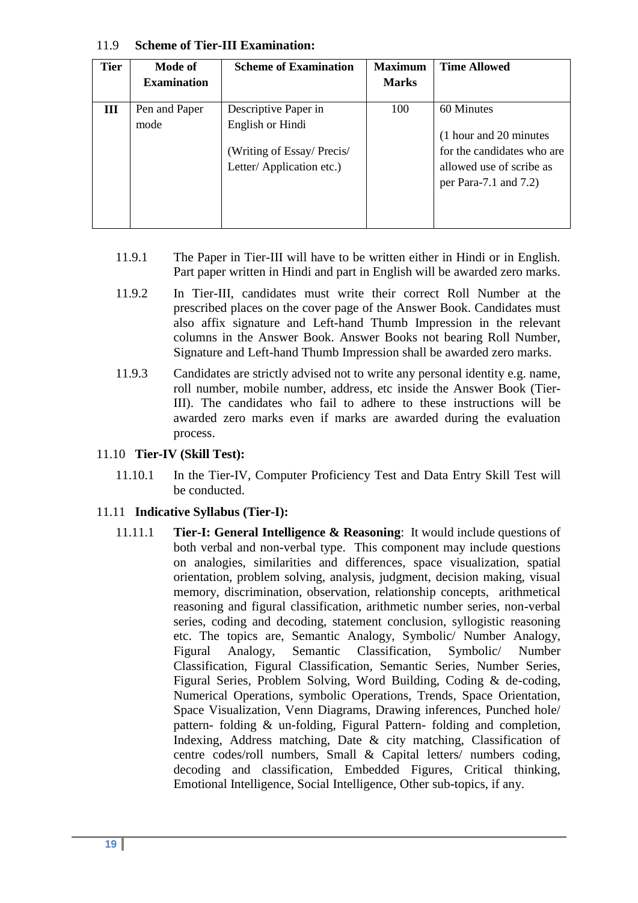| <b>Tier</b> | Mode of<br><b>Examination</b> | <b>Scheme of Examination</b>                                              | <b>Maximum</b><br><b>Marks</b> | <b>Time Allowed</b>                                                                                           |
|-------------|-------------------------------|---------------------------------------------------------------------------|--------------------------------|---------------------------------------------------------------------------------------------------------------|
| Ш           | Pen and Paper                 | Descriptive Paper in                                                      | 100                            | 60 Minutes                                                                                                    |
|             | mode                          | English or Hindi<br>(Writing of Essay/Precis/<br>Letter/Application etc.) |                                | (1 hour and 20 minutes)<br>for the candidates who are<br>allowed use of scribe as<br>per Para-7.1 and $7.2$ ) |

#### 11.9 **Scheme of Tier-III Examination:**

- 11.9.1 The Paper in Tier-III will have to be written either in Hindi or in English. Part paper written in Hindi and part in English will be awarded zero marks.
- 11.9.2 In Tier-III, candidates must write their correct Roll Number at the prescribed places on the cover page of the Answer Book. Candidates must also affix signature and Left-hand Thumb Impression in the relevant columns in the Answer Book. Answer Books not bearing Roll Number, Signature and Left-hand Thumb Impression shall be awarded zero marks.
- 11.9.3 Candidates are strictly advised not to write any personal identity e.g. name, roll number, mobile number, address, etc inside the Answer Book (Tier-III). The candidates who fail to adhere to these instructions will be awarded zero marks even if marks are awarded during the evaluation process.

## 11.10 **Tier-IV (Skill Test):**

11.10.1 In the Tier-IV, Computer Proficiency Test and Data Entry Skill Test will be conducted.

## 11.11 **Indicative Syllabus (Tier-I):**

11.11.1 **Tier-I: General Intelligence & Reasoning**: It would include questions of both verbal and non-verbal type. This component may include questions on analogies, similarities and differences, space visualization, spatial orientation, problem solving, analysis, judgment, decision making, visual memory, discrimination, observation, relationship concepts, arithmetical reasoning and figural classification, arithmetic number series, non-verbal series, coding and decoding, statement conclusion, syllogistic reasoning etc. The topics are, Semantic Analogy, Symbolic/ Number Analogy, Figural Analogy, Semantic Classification, Symbolic/ Number Classification, Figural Classification, Semantic Series, Number Series, Figural Series, Problem Solving, Word Building, Coding & de-coding, Numerical Operations, symbolic Operations, Trends, Space Orientation, Space Visualization, Venn Diagrams, Drawing inferences, Punched hole/ pattern- folding & un-folding, Figural Pattern- folding and completion, Indexing, Address matching, Date & city matching, Classification of centre codes/roll numbers, Small & Capital letters/ numbers coding, decoding and classification, Embedded Figures, Critical thinking, Emotional Intelligence, Social Intelligence, Other sub-topics, if any.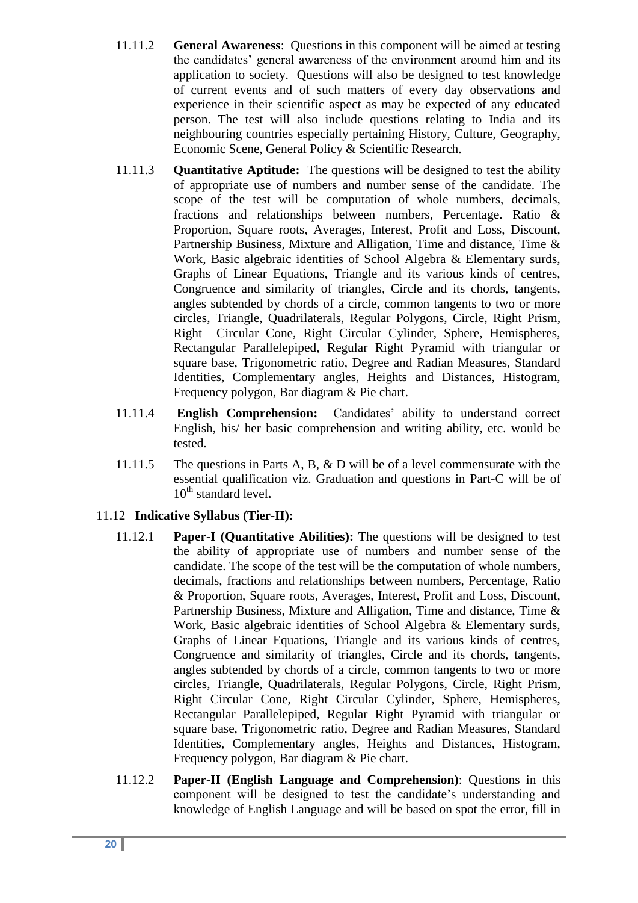- 11.11.2 **General Awareness**: Questions in this component will be aimed at testing the candidates' general awareness of the environment around him and its application to society. Questions will also be designed to test knowledge of current events and of such matters of every day observations and experience in their scientific aspect as may be expected of any educated person. The test will also include questions relating to India and its neighbouring countries especially pertaining History, Culture, Geography, Economic Scene, General Policy & Scientific Research.
- 11.11.3 **Quantitative Aptitude:** The questions will be designed to test the ability of appropriate use of numbers and number sense of the candidate. The scope of the test will be computation of whole numbers, decimals, fractions and relationships between numbers, Percentage. Ratio & Proportion, Square roots, Averages, Interest, Profit and Loss, Discount, Partnership Business, Mixture and Alligation, Time and distance, Time & Work, Basic algebraic identities of School Algebra & Elementary surds, Graphs of Linear Equations, Triangle and its various kinds of centres, Congruence and similarity of triangles, Circle and its chords, tangents, angles subtended by chords of a circle, common tangents to two or more circles, Triangle, Quadrilaterals, Regular Polygons, Circle, Right Prism, Right Circular Cone, Right Circular Cylinder, Sphere, Hemispheres, Rectangular Parallelepiped, Regular Right Pyramid with triangular or square base, Trigonometric ratio, Degree and Radian Measures, Standard Identities, Complementary angles, Heights and Distances, Histogram, Frequency polygon, Bar diagram & Pie chart.
- 11.11.4 **English Comprehension:** Candidates" ability to understand correct English, his/ her basic comprehension and writing ability, etc. would be tested.
- 11.11.5 The questions in Parts A, B, & D will be of a level commensurate with the essential qualification viz. Graduation and questions in Part-C will be of 10<sup>th</sup> standard level.

# 11.12 **Indicative Syllabus (Tier-II):**

- 11.12.1 **Paper-I (Quantitative Abilities):** The questions will be designed to test the ability of appropriate use of numbers and number sense of the candidate. The scope of the test will be the computation of whole numbers, decimals, fractions and relationships between numbers, Percentage, Ratio & Proportion, Square roots, Averages, Interest, Profit and Loss, Discount, Partnership Business, Mixture and Alligation, Time and distance, Time & Work, Basic algebraic identities of School Algebra & Elementary surds, Graphs of Linear Equations, Triangle and its various kinds of centres, Congruence and similarity of triangles, Circle and its chords, tangents, angles subtended by chords of a circle, common tangents to two or more circles, Triangle, Quadrilaterals, Regular Polygons, Circle, Right Prism, Right Circular Cone, Right Circular Cylinder, Sphere, Hemispheres, Rectangular Parallelepiped, Regular Right Pyramid with triangular or square base, Trigonometric ratio, Degree and Radian Measures, Standard Identities, Complementary angles, Heights and Distances, Histogram, Frequency polygon, Bar diagram & Pie chart.
- 11.12.2 **Paper-II (English Language and Comprehension)**: Questions in this component will be designed to test the candidate"s understanding and knowledge of English Language and will be based on spot the error, fill in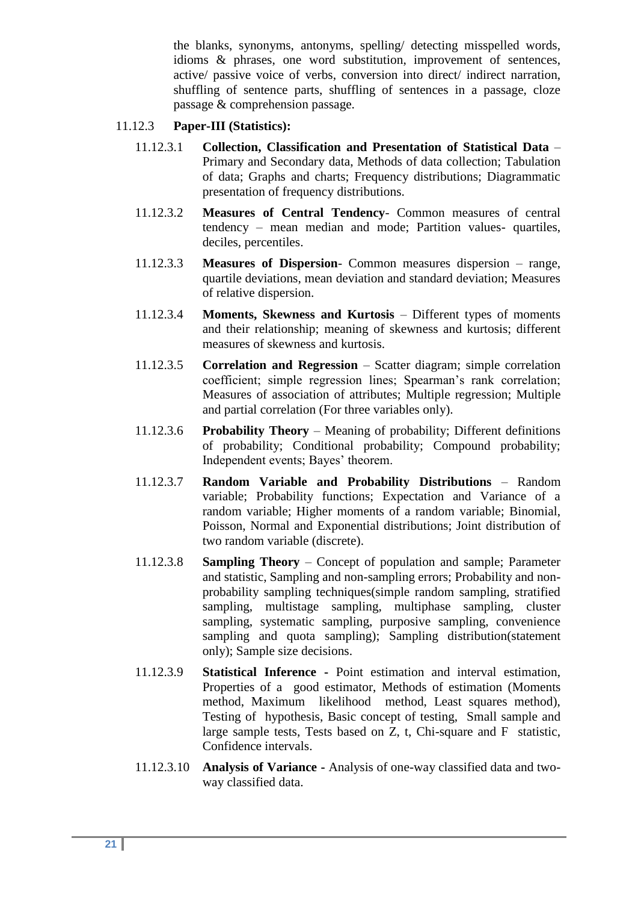the blanks, synonyms, antonyms, spelling/ detecting misspelled words, idioms & phrases, one word substitution, improvement of sentences, active/ passive voice of verbs, conversion into direct/ indirect narration, shuffling of sentence parts, shuffling of sentences in a passage, cloze passage & comprehension passage.

## 11.12.3 **Paper-III (Statistics):**

- 11.12.3.1 **Collection, Classification and Presentation of Statistical Data** Primary and Secondary data, Methods of data collection; Tabulation of data; Graphs and charts; Frequency distributions; Diagrammatic presentation of frequency distributions.
- 11.12.3.2 **Measures of Central Tendency** Common measures of central tendency – mean median and mode; Partition values- quartiles, deciles, percentiles.
- 11.12.3.3 **Measures of Dispersion** Common measures dispersion range, quartile deviations, mean deviation and standard deviation; Measures of relative dispersion.
- 11.12.3.4 **Moments, Skewness and Kurtosis**  Different types of moments and their relationship; meaning of skewness and kurtosis; different measures of skewness and kurtosis.
- 11.12.3.5 **Correlation and Regression**  Scatter diagram; simple correlation coefficient; simple regression lines; Spearman's rank correlation; Measures of association of attributes; Multiple regression; Multiple and partial correlation (For three variables only).
- 11.12.3.6 **Probability Theory**  Meaning of probability; Different definitions of probability; Conditional probability; Compound probability; Independent events; Bayes' theorem.
- 11.12.3.7 **Random Variable and Probability Distributions**  Random variable; Probability functions; Expectation and Variance of a random variable; Higher moments of a random variable; Binomial, Poisson, Normal and Exponential distributions; Joint distribution of two random variable (discrete).
- 11.12.3.8 **Sampling Theory**  Concept of population and sample; Parameter and statistic, Sampling and non-sampling errors; Probability and nonprobability sampling techniques(simple random sampling, stratified sampling, multistage sampling, multiphase sampling, cluster sampling, systematic sampling, purposive sampling, convenience sampling and quota sampling); Sampling distribution(statement only); Sample size decisions.
- 11.12.3.9 **Statistical Inference -** Point estimation and interval estimation, Properties of a good estimator, Methods of estimation (Moments method, Maximum likelihood method, Least squares method), Testing of hypothesis, Basic concept of testing, Small sample and large sample tests, Tests based on Z, t, Chi-square and F statistic, Confidence intervals.
- 11.12.3.10 **Analysis of Variance -** Analysis of one-way classified data and twoway classified data.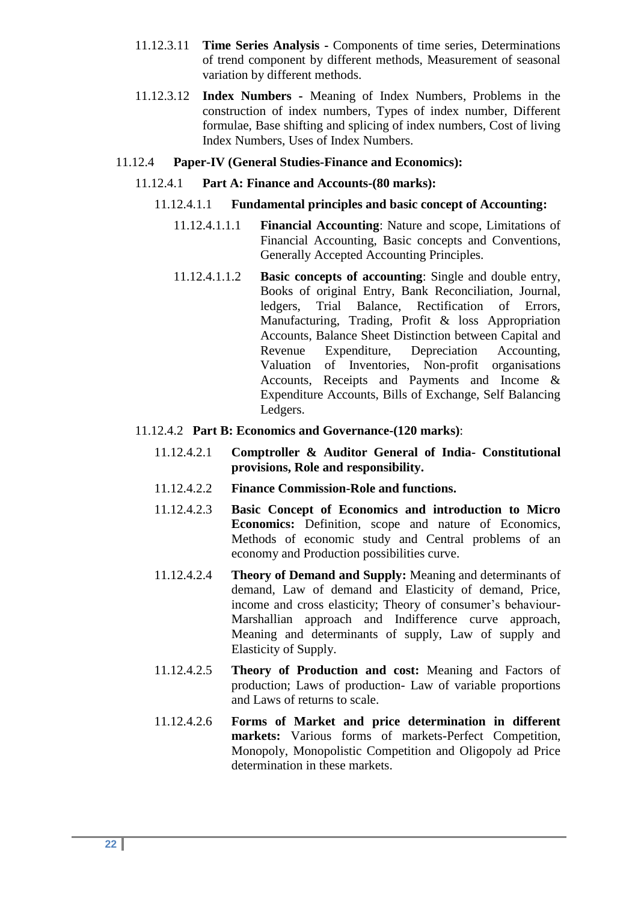- 11.12.3.11 **Time Series Analysis -** Components of time series, Determinations of trend component by different methods, Measurement of seasonal variation by different methods.
- 11.12.3.12 **Index Numbers -** Meaning of Index Numbers, Problems in the construction of index numbers, Types of index number, Different formulae, Base shifting and splicing of index numbers, Cost of living Index Numbers, Uses of Index Numbers.
- 11.12.4 **Paper-IV (General Studies-Finance and Economics):**
	- 11.12.4.1 **Part A: Finance and Accounts-(80 marks):**
		- 11.12.4.1.1 **Fundamental principles and basic concept of Accounting:**
			- 11.12.4.1.1.1 **Financial Accounting**: Nature and scope, Limitations of Financial Accounting, Basic concepts and Conventions, Generally Accepted Accounting Principles.
			- 11.12.4.1.1.2 **Basic concepts of accounting**: Single and double entry, Books of original Entry, Bank Reconciliation, Journal, ledgers, Trial Balance, Rectification of Errors, Manufacturing, Trading, Profit & loss Appropriation Accounts, Balance Sheet Distinction between Capital and Revenue Expenditure, Depreciation Accounting, Valuation of Inventories, Non-profit organisations Accounts, Receipts and Payments and Income & Expenditure Accounts, Bills of Exchange, Self Balancing Ledgers.
	- 11.12.4.2 **Part B: Economics and Governance-(120 marks)**:
		- 11.12.4.2.1 **Comptroller & Auditor General of India- Constitutional provisions, Role and responsibility.**
		- 11.12.4.2.2 **Finance Commission-Role and functions.**
		- 11.12.4.2.3 **Basic Concept of Economics and introduction to Micro Economics:** Definition, scope and nature of Economics, Methods of economic study and Central problems of an economy and Production possibilities curve.
		- 11.12.4.2.4 **Theory of Demand and Supply:** Meaning and determinants of demand, Law of demand and Elasticity of demand, Price, income and cross elasticity; Theory of consumer's behaviour-Marshallian approach and Indifference curve approach, Meaning and determinants of supply, Law of supply and Elasticity of Supply.
		- 11.12.4.2.5 **Theory of Production and cost:** Meaning and Factors of production; Laws of production- Law of variable proportions and Laws of returns to scale.
		- 11.12.4.2.6 **Forms of Market and price determination in different markets:** Various forms of markets-Perfect Competition, Monopoly, Monopolistic Competition and Oligopoly ad Price determination in these markets.